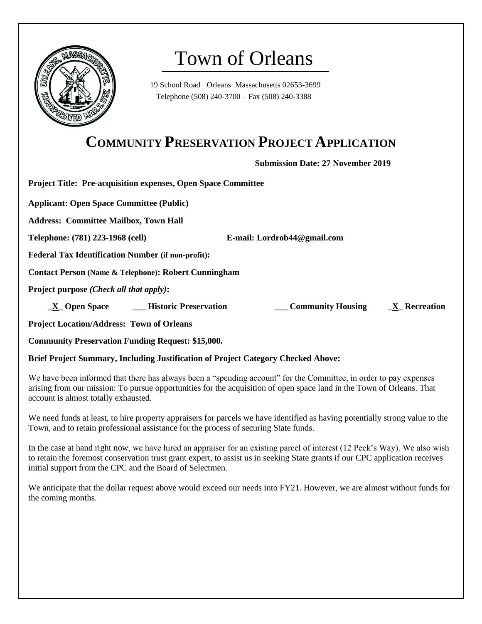

# Town of Orleans

19 School Road Orleans Massachusetts 02653-3699 Telephone (508) 240-3700 – Fax (508) 240-3388

# **COMMUNITY PRESERVATION PROJECT APPLICATION**

**Submission Date: 27 November 2019**

**Project Title: Pre-acquisition expenses, Open Space Committee**

**Applicant: Open Space Committee (Public)**

**Address: Committee Mailbox, Town Hall**

**Telephone: (781) 223-1968 (cell) E-mail: Lordrob44@gmail.com**

**Federal Tax Identification Number (if non-profit):** 

**Contact Person (Name & Telephone): Robert Cunningham**

**Project purpose** *(Check all that apply)***:**

 **\_X\_ Open Space**  \_\_\_ Historic Preservation \_\_\_\_\_\_\_\_\_ Community Housing \_\_\_\_\_\_\_\_ Recreation

**Project Location/Address: Town of Orleans**

**Community Preservation Funding Request: \$15,000.**

**Brief Project Summary, Including Justification of Project Category Checked Above:** 

We have been informed that there has always been a "spending account" for the Committee, in order to pay expenses arising from our mission: To pursue opportunities for the acquisition of open space land in the Town of Orleans. That account is almost totally exhausted.

We need funds at least, to hire property appraisers for parcels we have identified as having potentially strong value to the Town, and to retain professional assistance for the process of securing State funds.

In the case at hand right now, we have hired an appraiser for an existing parcel of interest (12 Peck's Way). We also wish to retain the foremost conservation trust grant expert, to assist us in seeking State grants if our CPC application receives initial support from the CPC and the Board of Selectmen.

We anticipate that the dollar request above would exceed our needs into FY21. However, we are almost without funds for the coming months.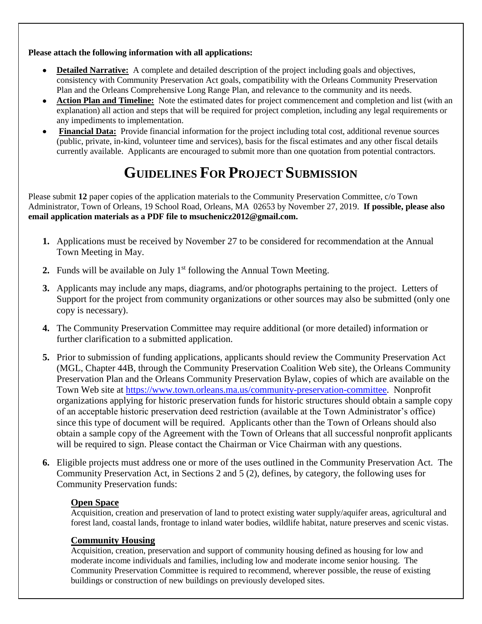**Please attach the following information with all applications:**

- **Detailed Narrative:** A complete and detailed description of the project including goals and objectives, consistency with Community Preservation Act goals, compatibility with the Orleans Community Preservation Plan and the Orleans Comprehensive Long Range Plan, and relevance to the community and its needs.
- **Action Plan and Timeline:** Note the estimated dates for project commencement and completion and list (with an explanation) all action and steps that will be required for project completion, including any legal requirements or any impediments to implementation.
- **Financial Data:** Provide financial information for the project including total cost, additional revenue sources (public, private, in-kind, volunteer time and services), basis for the fiscal estimates and any other fiscal details currently available. Applicants are encouraged to submit more than one quotation from potential contractors.

# **GUIDELINES FOR PROJECT SUBMISSION**

Please submit 12 paper copies of the application materials to the Community Preservation Committee, c/o Town Administrator, Town of Orleans, 19 School Road, Orleans, MA 02653 by November 27, 2019. **If possible, please also email application materials as a PDF file to msuchenicz2012@gmail.com.**

- **1.** Applications must be received by November 27 to be considered for recommendation at the Annual Town Meeting in May.
- **2.** Funds will be available on July  $1<sup>st</sup>$  following the Annual Town Meeting.
- **3.** Applicants may include any maps, diagrams, and/or photographs pertaining to the project. Letters of Support for the project from community organizations or other sources may also be submitted (only one copy is necessary).
- **4.** The Community Preservation Committee may require additional (or more detailed) information or further clarification to a submitted application.
- **5.** Prior to submission of funding applications, applicants should review the Community Preservation Act (MGL, Chapter 44B, through the Community Preservation Coalition Web site), the Orleans Community Preservation Plan and the Orleans Community Preservation Bylaw, copies of which are available on the Town Web site at [https://www.town.orleans.ma.us/community-preservation-committee.](https://www.town.orleans.ma.us/community-preservation-committee) Nonprofit organizations applying for historic preservation funds for historic structures should obtain a sample copy of an acceptable historic preservation deed restriction (available at the Town Administrator's office) since this type of document will be required. Applicants other than the Town of Orleans should also obtain a sample copy of the Agreement with the Town of Orleans that all successful nonprofit applicants will be required to sign. Please contact the Chairman or Vice Chairman with any questions.
- **6.** Eligible projects must address one or more of the uses outlined in the Community Preservation Act. The Community Preservation Act, in Sections 2 and 5 (2), defines, by category, the following uses for Community Preservation funds:

## **Open Space**

Acquisition, creation and preservation of land to protect existing water supply/aquifer areas, agricultural and forest land, coastal lands, frontage to inland water bodies, wildlife habitat, nature preserves and scenic vistas.

### **Community Housing**

Acquisition, creation, preservation and support of community housing defined as housing for low and moderate income individuals and families, including low and moderate income senior housing. The Community Preservation Committee is required to recommend, wherever possible, the reuse of existing buildings or construction of new buildings on previously developed sites.